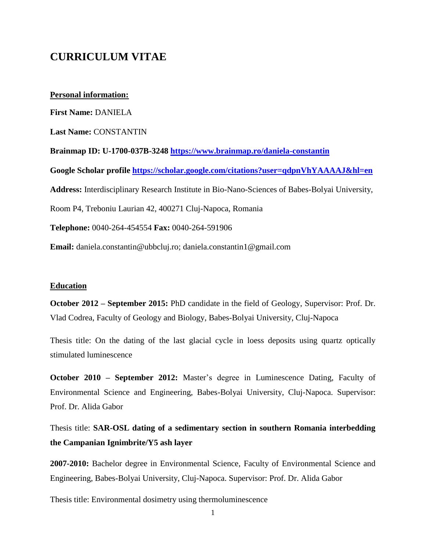# **CURRICULUM VITAE**

# **Personal information: First Name:** DANIELA **Last Name:** CONSTANTIN **Brainmap ID: U-1700-037B-3248 <https://www.brainmap.ro/daniela-constantin> Google Scholar profile <https://scholar.google.com/citations?user=qdpnVhYAAAAJ&hl=en> Address:** Interdisciplinary Research Institute in Bio-Nano-Sciences of Babes-Bolyai University, Room P4, Treboniu Laurian 42, 400271 Cluj-Napoca, Romania **Telephone:** 0040-264-454554 **Fax:** 0040-264-591906 **Email:** daniela.constantin@ubbcluj.ro; daniela.constantin1@gmail.com

#### **Education**

**October 2012 – September 2015:** PhD candidate in the field of Geology, Supervisor: Prof. Dr. Vlad Codrea, Faculty of Geology and Biology, Babes-Bolyai University, Cluj-Napoca

Thesis title: On the dating of the last glacial cycle in loess deposits using quartz optically stimulated luminescence

**October 2010 – September 2012:** Master's degree in Luminescence Dating, Faculty of Environmental Science and Engineering, Babes-Bolyai University, Cluj-Napoca. Supervisor: Prof. Dr. Alida Gabor

Thesis title: **SAR-OSL dating of a sedimentary section in southern Romania interbedding the Campanian Ignimbrite/Y5 ash layer**

**2007-2010:** Bachelor degree in Environmental Science, Faculty of Environmental Science and Engineering, Babes-Bolyai University, Cluj-Napoca. Supervisor: Prof. Dr. Alida Gabor

Thesis title: Environmental dosimetry using thermoluminescence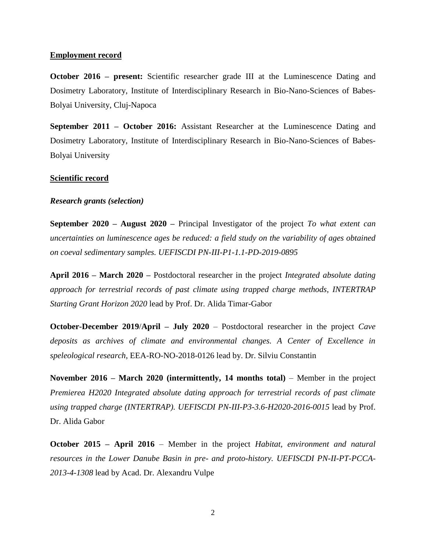#### **Employment record**

**October 2016 – present:** Scientific researcher grade III at the Luminescence Dating and Dosimetry Laboratory, Institute of Interdisciplinary Research in Bio-Nano-Sciences of Babes-Bolyai University, Cluj-Napoca

**September 2011 – October 2016:** Assistant Researcher at the Luminescence Dating and Dosimetry Laboratory, Institute of Interdisciplinary Research in Bio-Nano-Sciences of Babes-Bolyai University

#### **Scientific record**

# *Research grants (selection)*

**September 2020 – August 2020 –** Principal Investigator of the project *To what extent can uncertainties on luminescence ages be reduced: a field study on the variability of ages obtained on coeval sedimentary samples. UEFISCDI PN-III-P1-1.1-PD-2019-0895*

**April 2016 – March 2020 –** Postdoctoral researcher in the project *Integrated absolute dating approach for terrestrial records of past climate using trapped charge methods, INTERTRAP Starting Grant Horizon 2020* lead by Prof. Dr. Alida Timar-Gabor

**October-December 2019**/**April – July 2020** – Postdoctoral researcher in the project *Cave deposits as archives of climate and environmental changes. A Center of Excellence in speleological research*, EEA-RO-NO-2018-0126 lead by. Dr. Silviu Constantin

**November 2016 – March 2020 (intermittently, 14 months total)** – Member in the project *Premierea H2020 Integrated absolute dating approach for terrestrial records of past climate using trapped charge (INTERTRAP). UEFISCDI PN-III-P3-3.6-H2020-2016-0015* lead by Prof. Dr. Alida Gabor

**October 2015 – April 2016** – Member in the project *Habitat, environment and natural resources in the Lower Danube Basin in pre- and proto-history. UEFISCDI PN-II-PT-PCCA-2013-4-1308* lead by Acad. Dr. Alexandru Vulpe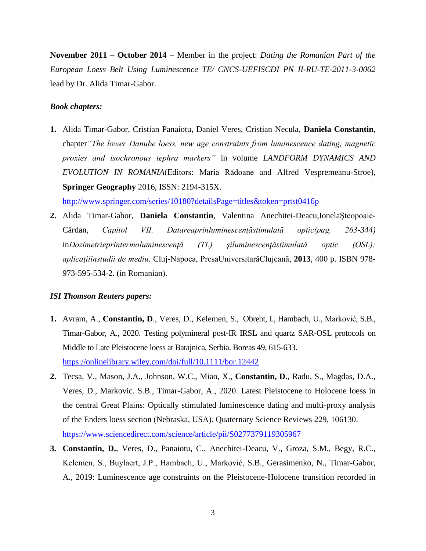**November 2011 – October 2014** – Member in the project: *Dating the Romanian Part of the European Loess Belt Using Luminescence TE/ CNCS-UEFISCDI PN II-RU-TE-2011-3-0062* lead by Dr. Alida Timar-Gabor.

## *Book chapters:*

**1.** Alida Timar-Gabor, Cristian Panaiotu, Daniel Veres, Cristian Necula, **Daniela Constantin**, chapter*"The lower Danube loess, new age constraints from luminescence dating, magnetic proxies and isochronous tephra markers"* in volume *LANDFORM DYNAMICS AND EVOLUTION IN ROMANIA*(Editors: Maria Rădoane and Alfred Vespremeanu-Stroe), **Springer Geography** 2016, ISSN: 2194-315X.

<http://www.springer.com/series/10180?detailsPage=titles&token=prtst0416p>

**2.** Alida Timar-Gabor, **Daniela Constantin**, Valentina Anechitei-Deacu,IonelaŞteopoaie-Cârdan, *Capitol VII. Datareaprinluminescenţăstimulată optic(pag. 263-344)*  in*Dozimetrieprintermoluminescenţă (TL) şiluminescenţăstimulată optic (OSL): aplicaţiiînstudii de mediu*. Cluj-Napoca, PresaUniversitarăClujeană, **2013**, 400 p. ISBN 978- 973-595-534-2. (in Romanian).

### *ISI Thomson Reuters papers:*

- **1.** Avram, A., **Constantin, D**., Veres, D., Kelemen, S., Obreht, I., Hambach, U., Marković, S.B., Timar-Gabor, A., 2020. Testing polymineral post-IR IRSL and quartz SAR-OSL protocols on Middle to Late Pleistocene loess at Batajnica, Serbia. Boreas 49, 615-633. <https://onlinelibrary.wiley.com/doi/full/10.1111/bor.12442>
- **2.** Tecsa, V., Mason, J.A., Johnson, W.C., Miao, X., **Constantin, D.**, Radu, S., Magdas, D.A., Veres, D., Markovic. S.B., Timar-Gabor, A., 2020. Latest Pleistocene to Holocene loess in the central Great Plains: Optically stimulated luminescence dating and multi-proxy analysis of the Enders loess section (Nebraska, USA). Quaternary Science Reviews 229, 106130. <https://www.sciencedirect.com/science/article/pii/S0277379119305967>
- **3. Constantin, D.**, Veres, D., Panaiotu, C., Anechitei-Deacu, V., Groza, S.M., Begy, R.C., Kelemen, S., Buylaert, J.P., Hambach, U., Marković, S.B., Gerasimenko, N., Timar-Gabor, A., 2019: Luminescence age constraints on the Pleistocene-Holocene transition recorded in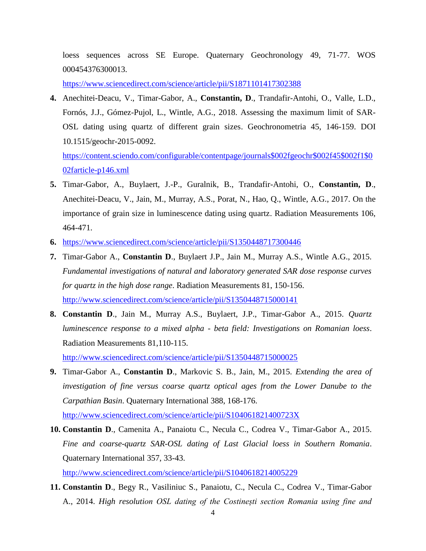loess sequences across SE Europe. Quaternary Geochronology 49, 71-77. WOS 000454376300013.

<https://www.sciencedirect.com/science/article/pii/S1871101417302388>

**4.** Anechitei-Deacu, V., Timar-Gabor, A., **Constantin, D**., Trandafir-Antohi, O., Valle, L.D., Fornós, J.J., Gómez-Pujol, L., Wintle, A.G., 2018. Assessing the maximum limit of SAR-OSL dating using quartz of different grain sizes. Geochronometria 45, 146-159. DOI 10.1515/geochr-2015-0092.

[https://content.sciendo.com/configurable/contentpage/journals\\$002fgeochr\\$002f45\\$002f1\\$0](https://content.sciendo.com/configurable/contentpage/journals$002fgeochr$002f45$002f1$002farticle-p146.xml) [02farticle-p146.xml](https://content.sciendo.com/configurable/contentpage/journals$002fgeochr$002f45$002f1$002farticle-p146.xml)

- **5.** Timar-Gabor, A., Buylaert, J.-P., Guralnik, B., Trandafir-Antohi, O., **Constantin, D**., Anechitei-Deacu, V., Jain, M., Murray, A.S., Porat, N., Hao, Q., Wintle, A.G., 2017. On the importance of grain size in luminescence dating using quartz. Radiation Measurements 106, 464-471.
- **6.** <https://www.sciencedirect.com/science/article/pii/S1350448717300446>
- **7.** Timar-Gabor A., **Constantin D**., Buylaert J.P., Jain M., Murray A.S., Wintle A.G., 2015. *Fundamental investigations of natural and laboratory generated SAR dose response curves for quartz in the high dose range*. Radiation Measurements 81, 150-156. <http://www.sciencedirect.com/science/article/pii/S1350448715000141>
- **8. Constantin D**., Jain M., Murray A.S., Buylaert, J.P., Timar-Gabor A., 2015. *Quartz luminescence response to a mixed alpha - beta field: Investigations on Romanian loess*. Radiation Measurements 81,110-115.

<http://www.sciencedirect.com/science/article/pii/S1350448715000025>

- **9.** Timar-Gabor A., **Constantin D**., Markovic S. B., Jain, M., 2015. *Extending the area of investigation of fine versus coarse quartz optical ages from the Lower Danube to the Carpathian Basin*. Quaternary International 388, 168-176. <http://www.sciencedirect.com/science/article/pii/S104061821400723X>
- **10. Constantin D**., Camenita A., Panaiotu C., Necula C., Codrea V., Timar-Gabor A., 2015. *Fine and coarse-quartz SAR-OSL dating of Last Glacial loess in Southern Romania*. Quaternary International 357, 33-43.

<http://www.sciencedirect.com/science/article/pii/S1040618214005229>

**11. Constantin D**., Begy R., Vasiliniuc S., Panaiotu, C., Necula C., Codrea V., Timar-Gabor A., 2014. *High resolution OSL dating of the Costinești section Romania using fine and*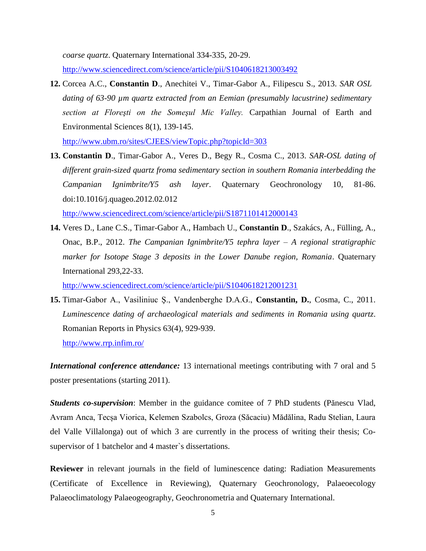*coarse quartz*. Quaternary International 334-335, 20-29. <http://www.sciencedirect.com/science/article/pii/S1040618213003492>

**12.** Corcea A.C., **Constantin D**., Anechitei V., Timar-Gabor A., Filipescu S., 2013. *SAR OSL dating of 63-90 µm quartz extracted from an Eemian (presumably lacustrine) sedimentary section at Floreşti on the Someşul Mic Valley.* Carpathian Journal of Earth and Environmental Sciences 8(1), 139-145.

<http://www.ubm.ro/sites/CJEES/viewTopic.php?topicId=303>

- **13. Constantin D**., Timar-Gabor A., Veres D., Begy R., Cosma C., 2013. *SAR-OSL dating of different grain-sized quartz froma sedimentary section in southern Romania interbedding the Campanian Ignimbrite/Y5 ash layer*. Quaternary Geochronology 10, 81-86. doi:10.1016/j.quageo.2012.02.012 <http://www.sciencedirect.com/science/article/pii/S1871101412000143>
- **14.** Veres D., Lane C.S., Timar-Gabor A., Hambach U., **Constantin D**., Szakács, A., Fülling, A., Onac, B.P., 2012. *The Campanian Ignimbrite/Y5 tephra layer – A regional stratigraphic marker for Isotope Stage 3 deposits in the Lower Danube region, Romania*. Quaternary International 293,22-33.

<http://www.sciencedirect.com/science/article/pii/S1040618212001231>

**15.** Timar-Gabor A., Vasiliniuc Ş., Vandenberghe D.A.G., **Constantin, D.**, Cosma, C., 2011. *Luminescence dating of archaeological materials and sediments in Romania using quartz*. Romanian Reports in Physics 63(4), 929-939. <http://www.rrp.infim.ro/>

*International conference attendance:* 13 international meetings contributing with 7 oral and 5 poster presentations (starting 2011).

*Students co-supervision*: Member in the guidance comitee of 7 PhD students (Pănescu Vlad, Avram Anca, Tecșa Viorica, Kelemen Szabolcs, Groza (Săcaciu) Mădălina, Radu Stelian, Laura del Valle Villalonga) out of which 3 are currently in the process of writing their thesis; Cosupervisor of 1 batchelor and 4 master's dissertations.

**Reviewer** in relevant journals in the field of luminescence dating: Radiation Measurements (Certificate of Excellence in Reviewing), Quaternary Geochronology, Palaeoecology Palaeoclimatology Palaeogeography, Geochronometria and Quaternary International.